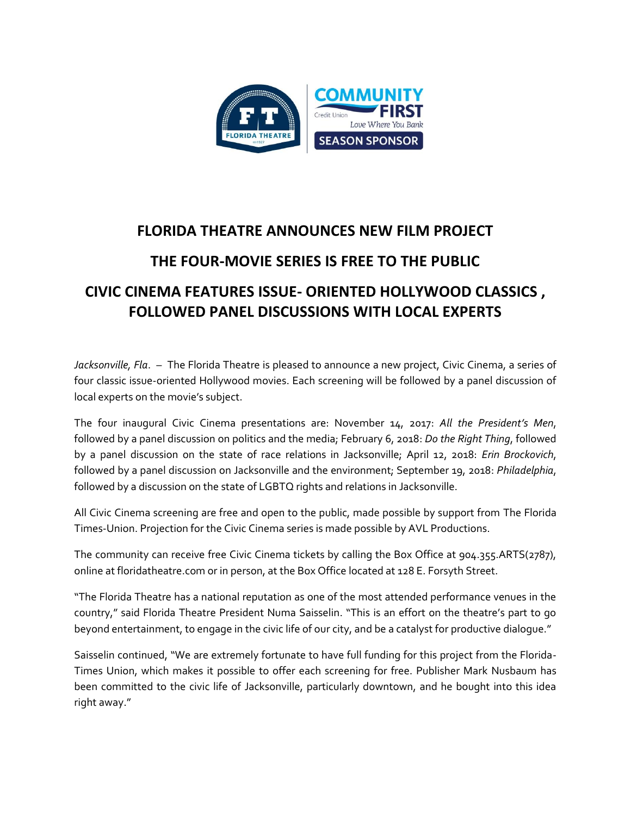

## **FLORIDA THEATRE ANNOUNCES NEW FILM PROJECT THE FOUR-MOVIE SERIES IS FREE TO THE PUBLIC CIVIC CINEMA FEATURES ISSUE- ORIENTED HOLLYWOOD CLASSICS , FOLLOWED PANEL DISCUSSIONS WITH LOCAL EXPERTS**

*Jacksonville, Fla*. – The Florida Theatre is pleased to announce a new project, Civic Cinema, a series of four classic issue-oriented Hollywood movies. Each screening will be followed by a panel discussion of local experts on the movie's subject.

The four inaugural Civic Cinema presentations are: November 14, 2017: *All the President's Men*, followed by a panel discussion on politics and the media; February 6, 2018: *Do the Right Thing*, followed by a panel discussion on the state of race relations in Jacksonville; April 12, 2018: *Erin Brockovich*, followed by a panel discussion on Jacksonville and the environment; September 19, 2018: *Philadelphia*, followed by a discussion on the state of LGBTQ rights and relations in Jacksonville.

All Civic Cinema screening are free and open to the public, made possible by support from The Florida Times-Union. Projection for the Civic Cinema series is made possible by AVL Productions.

The community can receive free Civic Cinema tickets by calling the Box Office at 904.355.ARTS(2787), online at floridatheatre.com or in person, at the Box Office located at 128 E. Forsyth Street.

"The Florida Theatre has a national reputation as one of the most attended performance venues in the country," said Florida Theatre President Numa Saisselin. "This is an effort on the theatre's part to go beyond entertainment, to engage in the civic life of our city, and be a catalyst for productive dialogue."

Saisselin continued, "We are extremely fortunate to have full funding for this project from the Florida-Times Union, which makes it possible to offer each screening for free. Publisher Mark Nusbaum has been committed to the civic life of Jacksonville, particularly downtown, and he bought into this idea right away."